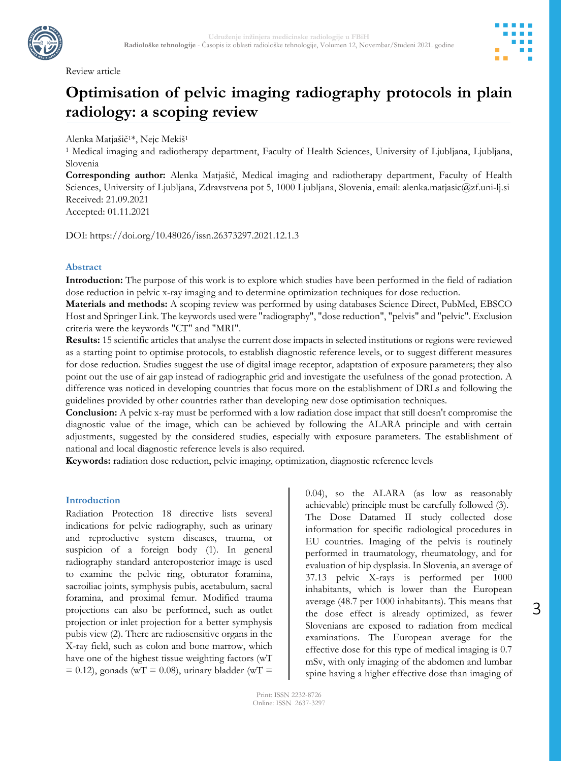

Review article



# **Optimisation of pelvic imaging radiography protocols in plain radiology: a scoping review**

Alenka Matjašič1\*, Nejc Mekiš<sup>1</sup>

<sup>1</sup> Medical imaging and radiotherapy department, Faculty of Health Sciences, University of Ljubljana, Ljubljana, Slovenia

**Corresponding author:** Alenka Matjašič, Medical imaging and radiotherapy department, Faculty of Health Sciences, University of Ljubljana, Zdravstvena pot 5, 1000 Ljubljana, Slovenia, email: alenka.matjasic@zf.uni-lj.si Received: 21.09.2021

Accepted: 01.11.2021

DOI: https://doi.org/10.48026/issn.26373297.2021.12.1.3

# **Abstract**

**Introduction:** The purpose of this work is to explore which studies have been performed in the field of radiation dose reduction in pelvic x-ray imaging and to determine optimization techniques for dose reduction.

**Materials and methods:** A scoping review was performed by using databases Science Direct, PubMed, EBSCO Host and Springer Link. The keywords used were "radiography", "dose reduction", "pelvis" and "pelvic". Exclusion criteria were the keywords "CT" and "MRI".

**Results:** 15 scientific articles that analyse the current dose impacts in selected institutions or regions were reviewed as a starting point to optimise protocols, to establish diagnostic reference levels, or to suggest different measures for dose reduction. Studies suggest the use of digital image receptor, adaptation of exposure parameters; they also point out the use of air gap instead of radiographic grid and investigate the usefulness of the gonad protection. A difference was noticed in developing countries that focus more on the establishment of DRLs and following the guidelines provided by other countries rather than developing new dose optimisation techniques.

**Conclusion:** A pelvic x-ray must be performed with a low radiation dose impact that still doesn't compromise the diagnostic value of the image, which can be achieved by following the ALARA principle and with certain adjustments, suggested by the considered studies, especially with exposure parameters. The establishment of national and local diagnostic reference levels is also required.

**Keywords:** radiation dose reduction, pelvic imaging, optimization, diagnostic reference levels

## **Introduction**

Radiation Protection 18 directive lists several indications for pelvic radiography, such as urinary and reproductive system diseases, trauma, or suspicion of a foreign body (1). In general radiography standard anteroposterior image is used to examine the pelvic ring, obturator foramina, sacroiliac joints, symphysis pubis, acetabulum, sacral foramina, and proximal femur. Modified trauma projections can also be performed, such as outlet projection or inlet projection for a better symphysis pubis view (2). There are radiosensitive organs in the X-ray field, such as colon and bone marrow, which have one of the highest tissue weighting factors (wT  $= 0.12$ ), gonads (wT = 0.08), urinary bladder (wT =

0.04), so the ALARA (as low as reasonably achievable) principle must be carefully followed (3). The Dose Datamed II study collected dose information for specific radiological procedures in EU countries. Imaging of the pelvis is routinely performed in traumatology, rheumatology, and for evaluation of hip dysplasia. In Slovenia, an average of 37.13 pelvic X-rays is performed per 1000 inhabitants, which is lower than the European average (48.7 per 1000 inhabitants). This means that the dose effect is already optimized, as fewer Slovenians are exposed to radiation from medical examinations. The European average for the effective dose for this type of medical imaging is 0.7 mSv, with only imaging of the abdomen and lumbar spine having a higher effective dose than imaging of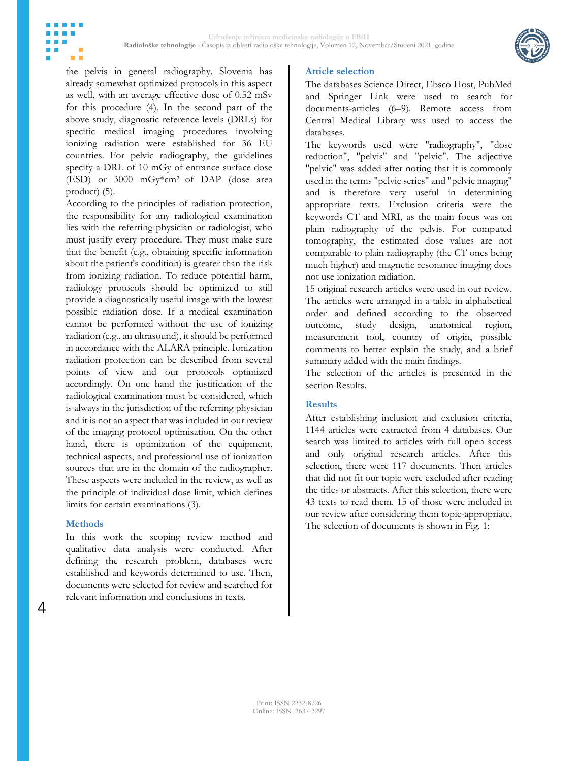

the pelvis in general radiography. Slovenia has already somewhat optimized protocols in this aspect as well, with an average effective dose of 0.52 mSv for this procedure (4). In the second part of the above study, diagnostic reference levels (DRLs) for specific medical imaging procedures involving ionizing radiation were established for 36 EU countries. For pelvic radiography, the guidelines specify a DRL of 10 mGy of entrance surface dose (ESD) or 3000 mGy\*cm2 of DAP (dose area product) (5).

According to the principles of radiation protection, the responsibility for any radiological examination lies with the referring physician or radiologist, who must justify every procedure. They must make sure that the benefit (e.g., obtaining specific information about the patient's condition) is greater than the risk from ionizing radiation. To reduce potential harm, radiology protocols should be optimized to still provide a diagnostically useful image with the lowest possible radiation dose. If a medical examination cannot be performed without the use of ionizing radiation (e.g., an ultrasound), it should be performed in accordance with the ALARA principle. Ionization radiation protection can be described from several points of view and our protocols optimized accordingly. On one hand the justification of the radiological examination must be considered, which is always in the jurisdiction of the referring physician and it is not an aspect that was included in our review of the imaging protocol optimisation. On the other hand, there is optimization of the equipment, technical aspects, and professional use of ionization sources that are in the domain of the radiographer. These aspects were included in the review, as well as the principle of individual dose limit, which defines limits for certain examinations (3).

#### **Methods**

m m

4

In this work the scoping review method and qualitative data analysis were conducted. After defining the research problem, databases were established and keywords determined to use. Then, documents were selected for review and searched for relevant information and conclusions in texts.

#### **Article selection**

The databases Science Direct, Ebsco Host, PubMed and Springer Link were used to search for documents-articles (6–9). Remote access from Central Medical Library was used to access the databases.

The keywords used were "radiography", "dose reduction", "pelvis" and "pelvic". The adjective "pelvic" was added after noting that it is commonly used in the terms "pelvic series" and "pelvic imaging" and is therefore very useful in determining appropriate texts. Exclusion criteria were the keywords CT and MRI, as the main focus was on plain radiography of the pelvis. For computed tomography, the estimated dose values are not comparable to plain radiography (the CT ones being much higher) and magnetic resonance imaging does not use ionization radiation.

15 original research articles were used in our review. The articles were arranged in a table in alphabetical order and defined according to the observed outcome, study design, anatomical region, measurement tool, country of origin, possible comments to better explain the study, and a brief summary added with the main findings.

The selection of the articles is presented in the section Results.

#### **Results**

After establishing inclusion and exclusion criteria, 1144 articles were extracted from 4 databases. Our search was limited to articles with full open access and only original research articles. After this selection, there were 117 documents. Then articles that did not fit our topic were excluded after reading the titles or abstracts. After this selection, there were 43 texts to read them. 15 of those were included in our review after considering them topic-appropriate. The selection of documents is shown in Fig. 1: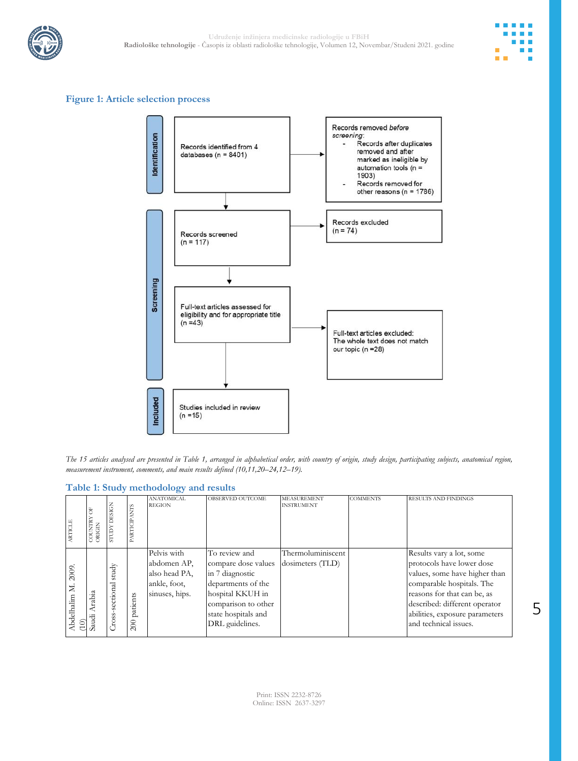



## **Figure 1: Article selection process**



*The 15 articles analysed are presented in Table 1, arranged in alphabetical order, with country of origin, study design, participating subjects, anatomical region, measurement instrument, comments, and main results defined (10,11,20–24,12–19).*

|  | Table 1: Study methodology and results |  |
|--|----------------------------------------|--|
|  |                                        |  |

| <b>ARTICLE</b>                        | COUNTRY<br>ORIGIN      | <b>DESIGN</b><br><b>XCILLS</b> | PARTICIPANTS    | <b>ANATOMICAL</b><br><b>REGION</b>                                            | OBSERVED OUTCOME                                                                                                                                                   | <b>MEASUREMENT</b><br><b>INSTRUMENT</b> | <b>COMMENTS</b> | <b>RESULTS AND FINDINGS</b>                                                                                                                                                                                                                    |
|---------------------------------------|------------------------|--------------------------------|-----------------|-------------------------------------------------------------------------------|--------------------------------------------------------------------------------------------------------------------------------------------------------------------|-----------------------------------------|-----------------|------------------------------------------------------------------------------------------------------------------------------------------------------------------------------------------------------------------------------------------------|
| 2009.<br>$\geq$<br>Abdelhalim<br>(10) | Arabia<br>indi<br>audi | study<br>Cross-sectional       | patients<br>200 | Pelvis with<br>abdomen AP,<br>also head PA,<br>ankle, foot,<br>sinuses, hips. | To review and<br>compare dose values<br>in 7 diagnostic<br>departments of the<br>hospital KKUH in<br>comparison to other<br>state hospitals and<br>DRL guidelines. | Thermoluminiscent<br>dosimeters (TLD)   |                 | Results vary a lot, some<br>protocols have lower dose<br>values, some have higher than<br>comparable hospitals. The<br>reasons for that can be, as<br>described: different operator<br>abilities, exposure parameters<br>and technical issues. |

5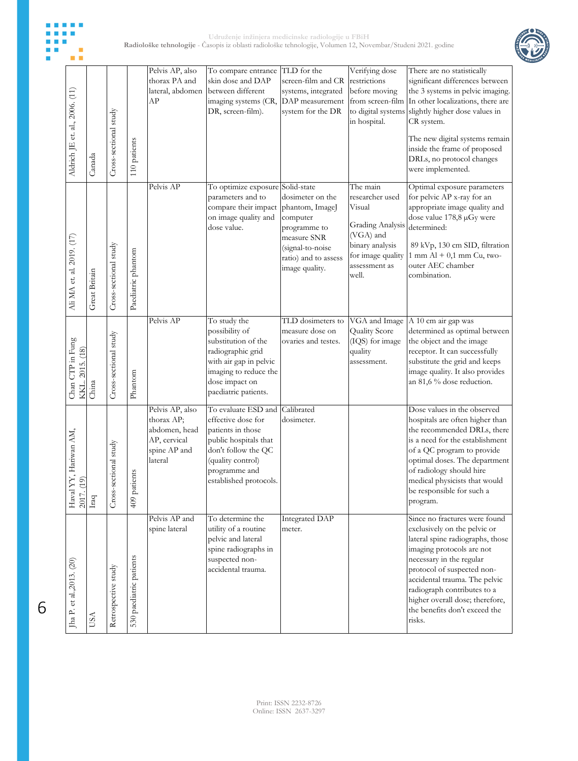



| Aldrich JE et. al., 2006. (11)         | Canada                                  | Cross-sectional study | 110 patients            | Pelvis AP, also<br>thorax PA and<br>lateral, abdomen<br>AP                                | To compare entrance<br>skin dose and DAP<br>between different<br>imaging systems (CR,<br>DR, screen-film).                                                                     | TLD for the<br>screen-film and CR<br>systems, integrated<br>DAP measurement<br>system for the DR                                                            | Verifying dose<br>restrictions<br>before moving<br>in hospital.                                                                                 | There are no statistically<br>significant differences between<br>the 3 systems in pelvic imaging.<br>from screen-film In other localizations, there are<br>to digital systems slightly higher dose values in<br>CR system.<br>The new digital systems remain<br>inside the frame of proposed<br>DRLs, no protocol changes              |
|----------------------------------------|-----------------------------------------|-----------------------|-------------------------|-------------------------------------------------------------------------------------------|--------------------------------------------------------------------------------------------------------------------------------------------------------------------------------|-------------------------------------------------------------------------------------------------------------------------------------------------------------|-------------------------------------------------------------------------------------------------------------------------------------------------|----------------------------------------------------------------------------------------------------------------------------------------------------------------------------------------------------------------------------------------------------------------------------------------------------------------------------------------|
|                                        |                                         |                       |                         |                                                                                           |                                                                                                                                                                                |                                                                                                                                                             |                                                                                                                                                 | were implemented.                                                                                                                                                                                                                                                                                                                      |
| Ali MA et. al. 2019. (17)              | <b>Great Britain</b>                    | Cross-sectional study | Paediatric phantom      | Pelvis AP                                                                                 | To optimize exposure<br>parameters and to<br>compare their impact<br>on image quality and<br>dose value.                                                                       | Solid-state<br>dosimeter on the<br>phantom, ImageJ<br>computer<br>programme to<br>measure SNR<br>(signal-to-noise<br>ratio) and to assess<br>image quality. | The main<br>researcher used<br>Visual<br><b>Grading Analysis</b><br>(VGA) and<br>binary analysis<br>for image quality<br>assessment as<br>well. | Optimal exposure parameters<br>for pelvic AP x-ray for an<br>appropriate image quality and<br>dose value 178,8 µGy were<br>determined:<br>89 kVp, 130 cm SID, filtration<br>$1$ mm $Al + 0,1$ mm $Cu$ , two-<br>outer AEC chamber<br>combination.                                                                                      |
| Chan CTP in Fung<br>KKL. 2015. (18)    | China                                   | Cross-sectional study | Phantom                 | Pelvis AP                                                                                 | To study the<br>possibility of<br>substitution of the<br>radiographic grid<br>with air gap in pelvic<br>imaging to reduce the<br>dose impact on<br>paediatric patients.        | TLD dosimeters to<br>measure dose on<br>ovaries and testes.                                                                                                 | VGA and Image<br><b>Quality Score</b><br>(IQS) for image<br>quality<br>assessment.                                                              | A 10 cm air gap was<br>determined as optimal between<br>the object and the image<br>receptor. It can successfully<br>substitute the grid and keeps<br>image quality. It also provides<br>an 81,6 % dose reduction.                                                                                                                     |
| ", Hariwan AM,<br>$_{\mbox{Haval}}$ YY | $\frac{\text{2017. (19)}}{\text{frag}}$ | Cross-sectional study | 409 patients            | Pelvis AP, also<br>thorax AP;<br>abdomen, head<br>AP, cervical<br>spine AP and<br>lateral | To evaluate ESD and<br>effective dose for<br>patients in those<br>public hospitals that<br>don't follow the QC<br>(quality control)<br>programme and<br>established protocols. | Calibrated<br>dosimeter.                                                                                                                                    |                                                                                                                                                 | Dose values in the observed<br>hospitals are often higher than<br>the recommended DRLs, there<br>is a need for the establishment<br>of a QC program to provide<br>optimal doses. The department<br>of radiology should hire<br>medical physicists that would<br>be responsible for such a<br>program.                                  |
| Jha P. et al., 2013. (20)              | USA                                     | Retrospective study   | 530 paediatric patients | Pelvis AP and<br>spine lateral                                                            | To determine the<br>utility of a routine<br>pelvic and lateral<br>spine radiographs in<br>suspected non-<br>accidental trauma.                                                 | Integrated DAP<br>meter.                                                                                                                                    |                                                                                                                                                 | Since no fractures were found<br>exclusively on the pelvic or<br>lateral spine radiographs, those<br>imaging protocols are not<br>necessary in the regular<br>protocol of suspected non-<br>accidental trauma. The pelvic<br>radiograph contributes to a<br>higher overall dose; therefore,<br>the benefits don't exceed the<br>risks. |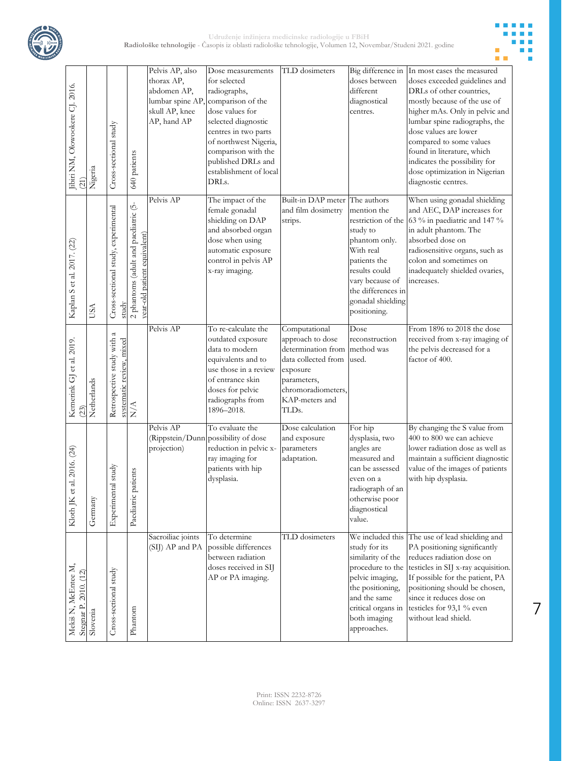



7

| Jibiri NM, Olowookere CJ. 2016.<br>(21)                  | Nigeria     | Cross-sectional study                                  | 640 patients                                                         | Pelvis AP, also<br>thorax AP,<br>abdomen AP,<br>skull AP, knee<br>AP, hand AP | Dose measurements<br>for selected<br>radiographs,<br>lumbar spine AP, comparison of the<br>dose values for<br>selected diagnostic<br>centres in two parts<br>of northwest Nigeria,<br>comparison with the<br>published DRLs and<br>establishment of local<br>DRLs. | TLD dosimeters                                                                                                                                             | Big difference in<br>doses between<br>different<br>diagnostical<br>centres.                                                                                                                | In most cases the measured<br>doses exceeded guidelines and<br>DRLs of other countries,<br>mostly because of the use of<br>higher mAs. Only in pelvic and<br>lumbar spine radiographs, the<br>dose values are lower<br>compared to some values<br>found in literature, which<br>indicates the possibility for<br>dose optimization in Nigerian<br>diagnostic centres. |
|----------------------------------------------------------|-------------|--------------------------------------------------------|----------------------------------------------------------------------|-------------------------------------------------------------------------------|--------------------------------------------------------------------------------------------------------------------------------------------------------------------------------------------------------------------------------------------------------------------|------------------------------------------------------------------------------------------------------------------------------------------------------------|--------------------------------------------------------------------------------------------------------------------------------------------------------------------------------------------|-----------------------------------------------------------------------------------------------------------------------------------------------------------------------------------------------------------------------------------------------------------------------------------------------------------------------------------------------------------------------|
| Kaplan S et al. 2017. (22)                               | USA         | Cross-sectional study, experimental<br>study           | 2 phantoms (adult and paediatric (5-<br>year-old patient equivalent) | Pelvis AP                                                                     | The impact of the<br>female gonadal<br>shielding on DAP<br>and absorbed organ<br>dose when using<br>automatic exposure<br>control in pelvis AP<br>x-ray imaging.                                                                                                   | Built-in DAP meter The authors<br>and film dosimetry<br>strips.                                                                                            | mention the<br>restriction of the<br>study to<br>phantom only.<br>With real<br>patients the<br>results could<br>vary because of<br>the differences in<br>gonadal shielding<br>positioning. | When using gonadal shielding<br>and AEC, DAP increases for<br>63 % in paediatric and 147 %<br>in adult phantom. The<br>absorbed dose on<br>radiosensitive organs, such as<br>colon and sometimes on<br>inadequately shielded ovaries,<br>increases.                                                                                                                   |
| Kemerink GJ et al. 2019.<br>(23)                         | Netherlands | Retrospective study with a<br>systematic review, mixed | $\mathbf{N}/\mathbf{A}$                                              | Pelvis AP                                                                     | To re-calculate the<br>outdated exposure<br>data to modern<br>equivalents and to<br>use those in a review<br>of entrance skin<br>doses for pelvic<br>radiographs from<br>1896-2018.                                                                                | Computational<br>approach to dose<br>determination from<br>data collected from<br>exposure<br>parameters,<br>chromoradiometers,<br>KAP-meters and<br>TLDs. | Dose<br>reconstruction<br>method was<br>used.                                                                                                                                              | From 1896 to 2018 the dose<br>received from x-ray imaging of<br>the pelvis decreased for a<br>factor of 400.                                                                                                                                                                                                                                                          |
| 2016. (24)<br>Kloth JK et al.                            | Germany     | tudy<br>Experimental s                                 | nts<br>Paediatric patie                                              | Pelvis AP<br>projection)                                                      | To evaluate the<br>(Rippstein/Dunn possibility of dose<br>reduction in pelvic x-<br>ray imaging for<br>patients with hip<br>dysplasia.                                                                                                                             | Dose calculation<br>and exposure<br>parameters<br>adaptation.                                                                                              | For hip<br>dysplasia, two<br>angles are<br>measured and<br>can be assessed<br>even on a<br>radiograph of an<br>otherwise poor<br>diagnostical<br>value.                                    | By changing the S value from<br>400 to 800 we can achieve<br>lower radiation dose as well as<br>maintain a sufficient diagnostic<br>value of the images of patients<br>with hip dysplasia.                                                                                                                                                                            |
| Mekiš N, McEntee M,<br>Stegnar P. 2010. (12)<br>Slovenia |             | Cross-sectional study                                  | Phantom                                                              | Sacroiliac joints<br>(SIJ) AP and PA                                          | To determine<br>possible differences<br>between radiation<br>doses received in SIJ<br>AP or PA imaging.                                                                                                                                                            | TLD dosimeters                                                                                                                                             | We included this<br>study for its<br>similarity of the<br>procedure to the<br>pelvic imaging,<br>the positioning,<br>and the same<br>critical organs in<br>both imaging<br>approaches.     | The use of lead shielding and<br>PA positioning significantly<br>reduces radiation dose on<br>testicles in SIJ x-ray acquisition.<br>If possible for the patient, PA<br>positioning should be chosen,<br>since it reduces dose on<br>testicles for 93,1 % even<br>without lead shield.                                                                                |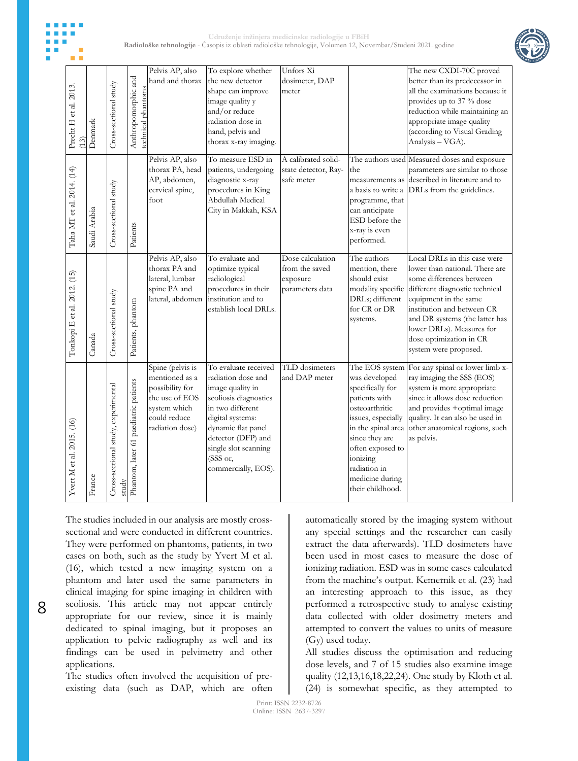



|                               |                                                    |                                              |                                           | Pelvis AP, also<br>hand and thorax                                                                                         | To explore whether<br>the new detector                                                                                                                                                                                                 | Unfors Xi<br>dosimeter, DAP                                       |                                                                                                                                                                                                                       | The new CXDI-70C proved<br>better than its predecessor in                                                                                                                                                                                                                                                                |
|-------------------------------|----------------------------------------------------|----------------------------------------------|-------------------------------------------|----------------------------------------------------------------------------------------------------------------------------|----------------------------------------------------------------------------------------------------------------------------------------------------------------------------------------------------------------------------------------|-------------------------------------------------------------------|-----------------------------------------------------------------------------------------------------------------------------------------------------------------------------------------------------------------------|--------------------------------------------------------------------------------------------------------------------------------------------------------------------------------------------------------------------------------------------------------------------------------------------------------------------------|
| Precht H et al. 2013.<br>(13) | Denmark                                            | Cross-sectional study                        | Anthropomorphic and<br>technical phantoms |                                                                                                                            | shape can improve<br>image quality y<br>and/or reduce<br>radiation dose in<br>hand, pelvis and<br>thorax x-ray imaging.                                                                                                                | meter                                                             |                                                                                                                                                                                                                       | all the examinations because it<br>provides up to 37 % dose<br>reduction while maintaining an<br>appropriate image quality<br>(according to Visual Grading<br>Analysis - VGA).                                                                                                                                           |
| Taha MT et al. 2014. (14)     | Saudi Arabia                                       | Cross-sectional study                        | Patients                                  | Pelvis AP, also<br>thorax PA, head<br>AP, abdomen,<br>cervical spine,<br>foot                                              | To measure ESD in<br>patients, undergoing<br>diagnostic x-ray<br>procedures in King<br>Abdullah Medical<br>City in Makkah, KSA                                                                                                         | A calibrated solid-<br>state detector, Ray-<br>safe meter         | the<br>a basis to write a<br>programme, that<br>can anticipate<br>ESD before the<br>x-ray is even<br>performed.                                                                                                       | The authors used Measured doses and exposure<br>parameters are similar to those<br>measurements as described in literature and to<br>DRLs from the guidelines.                                                                                                                                                           |
| Tonkopi E et al. 2012. (15)   | Canada                                             | Cross-sectional study                        | Patients, phantom                         | Pelvis AP, also<br>thorax PA and<br>lateral, lumbar<br>spine PA and<br>lateral, abdomen                                    | To evaluate and<br>optimize typical<br>radiological<br>procedures in their<br>institution and to<br>establish local DRLs.                                                                                                              | Dose calculation<br>from the saved<br>exposure<br>parameters data | The authors<br>mention, there<br>should exist<br>DRLs; different<br>for CR or DR<br>systems.                                                                                                                          | Local DRLs in this case were<br>lower than national. There are<br>some differences between<br>modality specific different diagnostic technical<br>equipment in the same<br>institution and between CR<br>and DR systems (the latter has<br>lower DRLs). Measures for<br>dose optimization in CR<br>system were proposed. |
| Yvert M et al. 2015. (16)     | $\ensuremath{\mathop{\text{\rm France}}\nolimits}$ | Cross-sectional study, experimental<br>study | Phantom, later 61 paediatric patients     | Spine (pelvis is<br>mentioned as a<br>possibility for<br>the use of EOS<br>system which<br>could reduce<br>radiation dose) | To evaluate received<br>radiation dose and<br>image quality in<br>scoliosis diagnostics<br>in two different<br>digital systems:<br>dynamic flat panel<br>detector (DFP) and<br>single slot scanning<br>(SSS or,<br>commercially, EOS). | TLD dosimeters<br>and DAP meter                                   | The EOS system<br>was developed<br>specifically for<br>patients with<br>osteoarthritic<br>issues, especially<br>since they are<br>often exposed to<br>ionizing<br>radiation in<br>medicine during<br>their childhood. | For any spinal or lower limb x-<br>ray imaging the SSS (EOS)<br>system is more appropriate<br>since it allows dose reduction<br>and provides +optimal image<br>quality. It can also be used in<br>in the spinal area other anatomical regions, such<br>as pelvis.                                                        |

The studies included in our analysis are mostly crosssectional and were conducted in different countries. They were performed on phantoms, patients, in two cases on both, such as the study by Yvert M et al. (16), which tested a new imaging system on a phantom and later used the same parameters in clinical imaging for spine imaging in children with scoliosis. This article may not appear entirely appropriate for our review, since it is mainly dedicated to spinal imaging, but it proposes an application to pelvic radiography as well and its findings can be used in pelvimetry and other applications.

The studies often involved the acquisition of preexisting data (such as DAP, which are often automatically stored by the imaging system without any special settings and the researcher can easily extract the data afterwards). TLD dosimeters have been used in most cases to measure the dose of ionizing radiation. ESD was in some cases calculated from the machine's output. Kemernik et al. (23) had an interesting approach to this issue, as they performed a retrospective study to analyse existing data collected with older dosimetry meters and attempted to convert the values to units of measure (Gy) used today.

All studies discuss the optimisation and reducing dose levels, and 7 of 15 studies also examine image quality (12,13,16,18,22,24). One study by Kloth et al. (24) is somewhat specific, as they attempted to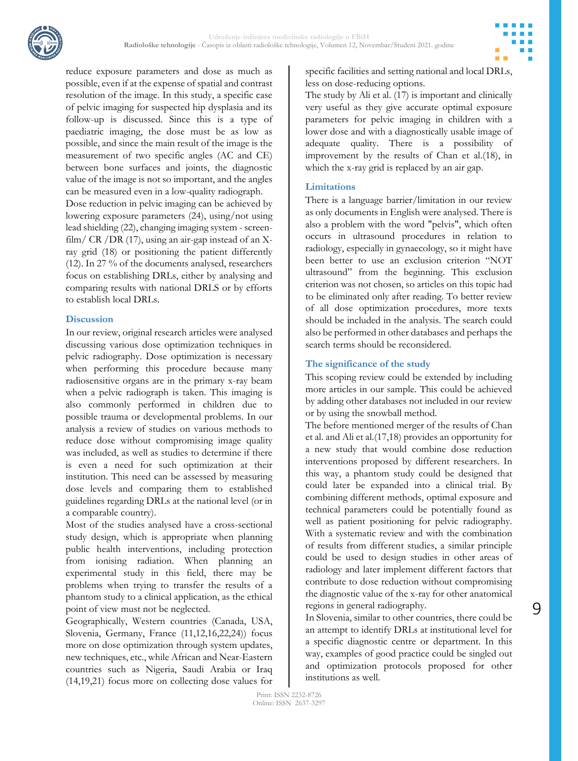

reduce exposure parameters and dose as much as possible, even if at the expense of spatial and contrast resolution of the image. In this study, a specific case of pelvic imaging for suspected hip dysplasia and its follow-up is discussed. Since this is a type of paediatric imaging, the dose must be as low as possible, and since the main result of the image is the measurement of two specific angles (AC and CE) between bone surfaces and joints, the diagnostic value of the image is not so important, and the angles can be measured even in a low-quality radiograph.

Dose reduction in pelvic imaging can be achieved by lowering exposure parameters (24), using/not using lead shielding (22), changing imaging system - screenfilm/ CR /DR (17), using an air-gap instead of an Xray grid (18) or positioning the patient differently (12). In 27 % of the documents analysed, researchers focus on establishing DRLs, either by analysing and comparing results with national DRLS or by efforts to establish local DRLs.

## **Discussion**

In our review, original research articles were analysed discussing various dose optimization techniques in pelvic radiography. Dose optimization is necessary when performing this procedure because many radiosensitive organs are in the primary x-ray beam when a pelvic radiograph is taken. This imaging is also commonly performed in children due to possible trauma or developmental problems. In our analysis a review of studies on various methods to reduce dose without compromising image quality was included, as well as studies to determine if there is even a need for such optimization at their institution. This need can be assessed by measuring dose levels and comparing them to established guidelines regarding DRLs at the national level (or in a comparable country).

Most of the studies analysed have a cross-sectional study design, which is appropriate when planning public health interventions, including protection from ionising radiation. When planning an experimental study in this field, there may be problems when trying to transfer the results of a phantom study to a clinical application, as the ethical point of view must not be neglected.

Geographically, Western countries (Canada, USA, Slovenia, Germany, France (11,12,16,22,24)) focus more on dose optimization through system updates, new techniques, etc., while African and Near-Eastern countries such as Nigeria, Saudi Arabia or Iraq (14,19,21) focus more on collecting dose values for specific facilities and setting national and local DRLs, less on dose-reducing options.

The study by Ali et al. (17) is important and clinically very useful as they give accurate optimal exposure parameters for pelvic imaging in children with a lower dose and with a diagnostically usable image of adequate quality. There is a possibility of improvement by the results of Chan et al.(18), in which the x-ray grid is replaced by an air gap.

# **Limitations**

There is a language barrier/limitation in our review as only documents in English were analysed. There is also a problem with the word "pelvis", which often occurs in ultrasound procedures in relation to radiology, especially in gynaecology, so it might have been better to use an exclusion criterion "NOT ultrasound" from the beginning. This exclusion criterion was not chosen, so articles on this topic had to be eliminated only after reading. To better review of all dose optimization procedures, more texts should be included in the analysis. The search could also be performed in other databases and perhaps the search terms should be reconsidered.

# **The significance of the study**

This scoping review could be extended by including more articles in our sample. This could be achieved by adding other databases not included in our review or by using the snowball method.

The before mentioned merger of the results of Chan et al. and Ali et al.(17,18) provides an opportunity for a new study that would combine dose reduction interventions proposed by different researchers. In this way, a phantom study could be designed that could later be expanded into a clinical trial. By combining different methods, optimal exposure and technical parameters could be potentially found as well as patient positioning for pelvic radiography. With a systematic review and with the combination of results from different studies, a similar principle could be used to design studies in other areas of radiology and later implement different factors that contribute to dose reduction without compromising the diagnostic value of the x-ray for other anatomical regions in general radiography.

In Slovenia, similar to other countries, there could be an attempt to identify DRLs at institutional level for a specific diagnostic centre or department. In this way, examples of good practice could be singled out and optimization protocols proposed for other institutions as well.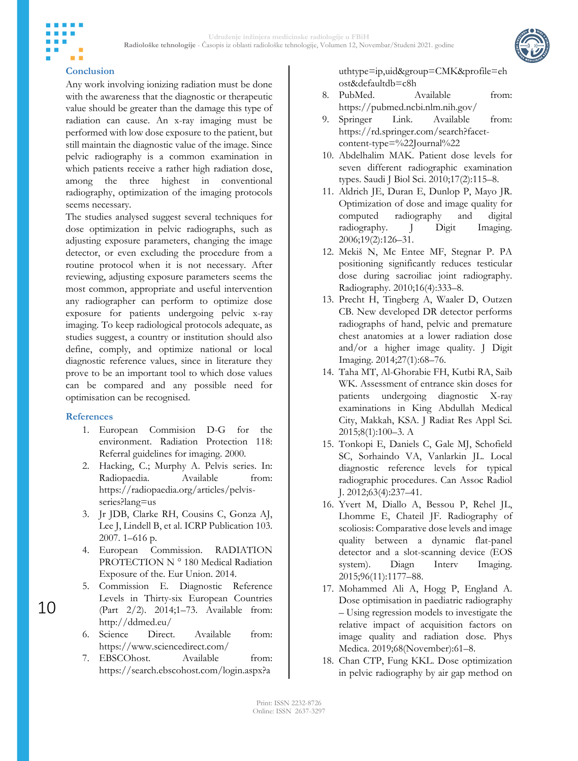

### **Conclusion**

m m

Any work involving ionizing radiation must be done with the awareness that the diagnostic or therapeutic value should be greater than the damage this type of radiation can cause. An x-ray imaging must be performed with low dose exposure to the patient, but still maintain the diagnostic value of the image. Since pelvic radiography is a common examination in which patients receive a rather high radiation dose, among the three highest in conventional radiography, optimization of the imaging protocols seems necessary.

The studies analysed suggest several techniques for dose optimization in pelvic radiographs, such as adjusting exposure parameters, changing the image detector, or even excluding the procedure from a routine protocol when it is not necessary. After reviewing, adjusting exposure parameters seems the most common, appropriate and useful intervention any radiographer can perform to optimize dose exposure for patients undergoing pelvic x-ray imaging. To keep radiological protocols adequate, as studies suggest, a country or institution should also define, comply, and optimize national or local diagnostic reference values, since in literature they prove to be an important tool to which dose values can be compared and any possible need for optimisation can be recognised.

#### **References**

- 1. European Commision D-G for the environment. Radiation Protection 118: Referral guidelines for imaging. 2000.
- 2. Hacking, C.; Murphy A. Pelvis series. In: Radiopaedia. Available from: https://radiopaedia.org/articles/pelvisseries?lang=us
- 3. Jr JDB, Clarke RH, Cousins C, Gonza AJ, Lee J, Lindell B, et al. ICRP Publication 103. 2007. 1–616 p.
- 4. European Commission. RADIATION PROTECTION N ° 180 Medical Radiation Exposure of the. Eur Union. 2014.
- 5. Commission E. Diagnostic Reference Levels in Thirty-six European Countries (Part 2/2). 2014;1–73. Available from: http://ddmed.eu/
- 6. Science Direct. Available from: https://www.sciencedirect.com/
- 7. EBSCOhost. Available from: https://search.ebscohost.com/login.aspx?a

uthtype=ip,uid&group=CMK&profile=eh ost&defaultdb=c8h

- 8. PubMed. Available from: https://pubmed.ncbi.nlm.nih.gov/
- 9. Springer Link. Available from: https://rd.springer.com/search?facetcontent-type=%22Journal%22
- 10. Abdelhalim MAK. Patient dose levels for seven different radiographic examination types. Saudi J Biol Sci. 2010;17(2):115–8.
- 11. Aldrich JE, Duran E, Dunlop P, Mayo JR. Optimization of dose and image quality for computed radiography and digital radiography. J Digit Imaging. 2006;19(2):126–31.
- 12. Mekiš N, Mc Entee MF, Stegnar P. PA positioning significantly reduces testicular dose during sacroiliac joint radiography. Radiography. 2010;16(4):333–8.
- 13. Precht H, Tingberg A, Waaler D, Outzen CB. New developed DR detector performs radiographs of hand, pelvic and premature chest anatomies at a lower radiation dose and/or a higher image quality. J Digit Imaging. 2014;27(1):68–76.
- 14. Taha MT, Al-Ghorabie FH, Kutbi RA, Saib WK. Assessment of entrance skin doses for patients undergoing diagnostic X-ray examinations in King Abdullah Medical City, Makkah, KSA. J Radiat Res Appl Sci. 2015;8(1):100–3. A
- 15. Tonkopi E, Daniels C, Gale MJ, Schofield SC, Sorhaindo VA, Vanlarkin JL. Local diagnostic reference levels for typical radiographic procedures. Can Assoc Radiol J. 2012;63(4):237–41.
- 16. Yvert M, Diallo A, Bessou P, Rehel JL, Lhomme E, Chateil JF. Radiography of scoliosis: Comparative dose levels and image quality between a dynamic flat-panel detector and a slot-scanning device (EOS system). Diagn Interv Imaging. 2015;96(11):1177–88.
- 17. Mohammed Ali A, Hogg P, England A. Dose optimisation in paediatric radiography – Using regression models to investigate the relative impact of acquisition factors on image quality and radiation dose. Phys Medica. 2019;68(November):61–8.
- 18. Chan CTP, Fung KKL. Dose optimization in pelvic radiography by air gap method on